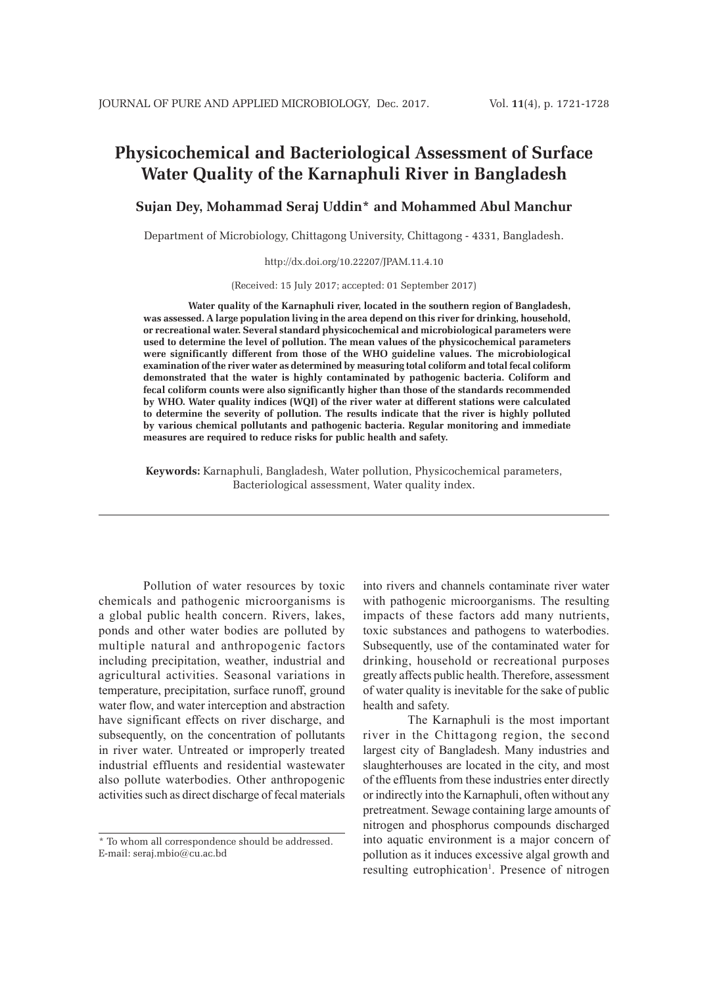# **Physicochemical and Bacteriological Assessment of Surface Water Quality of the Karnaphuli River in Bangladesh**

# **Sujan Dey, Mohammad Seraj Uddin\* and Mohammed Abul Manchur**

Department of Microbiology, Chittagong University, Chittagong - 4331, Bangladesh.

http://dx.doi.org/10.22207/JPAM.11.4.10

(Received: 15 July 2017; accepted: 01 September 2017)

**Water quality of the Karnaphuli river, located in the southern region of Bangladesh, was assessed. A large population living in the area depend on this river for drinking, household, or recreational water. Several standard physicochemical and microbiological parameters were used to determine the level of pollution. The mean values of the physicochemical parameters were significantly different from those of the WHO guideline values. The microbiological examination of the river water as determined by measuring total coliform and total fecal coliform demonstrated that the water is highly contaminated by pathogenic bacteria. Coliform and fecal coliform counts were also significantly higher than those of the standards recommended by WHO. Water quality indices (WQI) of the river water at different stations were calculated to determine the severity of pollution. The results indicate that the river is highly polluted by various chemical pollutants and pathogenic bacteria. Regular monitoring and immediate measures are required to reduce risks for public health and safety.**

**Keywords:** Karnaphuli, Bangladesh, Water pollution, Physicochemical parameters, Bacteriological assessment, Water quality index.

Pollution of water resources by toxic chemicals and pathogenic microorganisms is a global public health concern. Rivers, lakes, ponds and other water bodies are polluted by multiple natural and anthropogenic factors including precipitation, weather, industrial and agricultural activities. Seasonal variations in temperature, precipitation, surface runoff, ground water flow, and water interception and abstraction have significant effects on river discharge, and subsequently, on the concentration of pollutants in river water. Untreated or improperly treated industrial effluents and residential wastewater also pollute waterbodies. Other anthropogenic activities such as direct discharge of fecal materials

into rivers and channels contaminate river water with pathogenic microorganisms. The resulting impacts of these factors add many nutrients, toxic substances and pathogens to waterbodies. Subsequently, use of the contaminated water for drinking, household or recreational purposes greatly affects public health. Therefore, assessment of water quality is inevitable for the sake of public health and safety.

The Karnaphuli is the most important river in the Chittagong region, the second largest city of Bangladesh. Many industries and slaughterhouses are located in the city, and most of the effluents from these industries enter directly or indirectly into the Karnaphuli, often without any pretreatment. Sewage containing large amounts of nitrogen and phosphorus compounds discharged into aquatic environment is a major concern of pollution as it induces excessive algal growth and resulting eutrophication<sup>1</sup>. Presence of nitrogen

<sup>\*</sup> To whom all correspondence should be addressed. E-mail: seraj.mbio@cu.ac.bd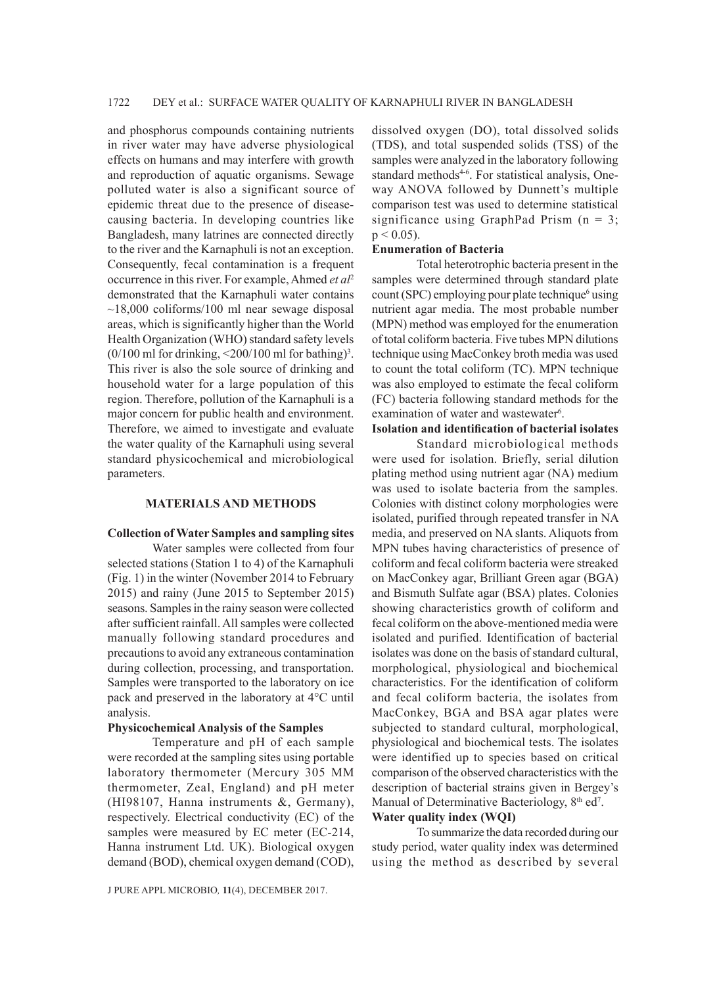and phosphorus compounds containing nutrients in river water may have adverse physiological effects on humans and may interfere with growth and reproduction of aquatic organisms. Sewage polluted water is also a significant source of epidemic threat due to the presence of diseasecausing bacteria. In developing countries like Bangladesh, many latrines are connected directly to the river and the Karnaphuli is not an exception. Consequently, fecal contamination is a frequent occurrence in this river. For example, Ahmed *et al*<sup>2</sup> demonstrated that the Karnaphuli water contains  $\sim$ 18,000 coliforms/100 ml near sewage disposal areas, which is significantly higher than the World Health Organization (WHO) standard safety levels  $(0/100 \text{ ml}$  for drinking,  $\leq 200/100 \text{ ml}$  for bathing)<sup>3</sup>. This river is also the sole source of drinking and household water for a large population of this region. Therefore, pollution of the Karnaphuli is a major concern for public health and environment. Therefore, we aimed to investigate and evaluate the water quality of the Karnaphuli using several standard physicochemical and microbiological parameters.

#### **MATERIALS AND METHODS**

# **Collection of Water Samples and sampling sites**

Water samples were collected from four selected stations (Station 1 to 4) of the Karnaphuli (Fig. 1) in the winter (November 2014 to February 2015) and rainy (June 2015 to September 2015) seasons. Samples in the rainy season were collected after sufficient rainfall. All samples were collected manually following standard procedures and precautions to avoid any extraneous contamination during collection, processing, and transportation. Samples were transported to the laboratory on ice pack and preserved in the laboratory at 4°C until analysis.

# **Physicochemical Analysis of the Samples**

Temperature and pH of each sample were recorded at the sampling sites using portable laboratory thermometer (Mercury 305 MM thermometer, Zeal, England) and pH meter (HI98107, Hanna instruments &, Germany), respectively. Electrical conductivity (EC) of the samples were measured by EC meter (EC-214, Hanna instrument Ltd. UK). Biological oxygen demand (BOD), chemical oxygen demand (COD),

J PURE APPL MICROBIO*,* **11**(4), DECEMBER 2017.

dissolved oxygen (DO), total dissolved solids (TDS), and total suspended solids (TSS) of the samples were analyzed in the laboratory following standard methods<sup>4-6</sup>. For statistical analysis, Oneway ANOVA followed by Dunnett's multiple comparison test was used to determine statistical significance using GraphPad Prism  $(n = 3)$ ;  $p < 0.05$ ).

#### **Enumeration of Bacteria**

Total heterotrophic bacteria present in the samples were determined through standard plate count (SPC) employing pour plate technique<sup>6</sup> using nutrient agar media. The most probable number (MPN) method was employed for the enumeration of total coliform bacteria. Five tubes MPN dilutions technique using MacConkey broth media was used to count the total coliform (TC). MPN technique was also employed to estimate the fecal coliform (FC) bacteria following standard methods for the examination of water and wastewater<sup>6</sup>.

# **Isolation and identification of bacterial isolates**

Standard microbiological methods were used for isolation. Briefly, serial dilution plating method using nutrient agar (NA) medium was used to isolate bacteria from the samples. Colonies with distinct colony morphologies were isolated, purified through repeated transfer in NA media, and preserved on NA slants. Aliquots from MPN tubes having characteristics of presence of coliform and fecal coliform bacteria were streaked on MacConkey agar, Brilliant Green agar (BGA) and Bismuth Sulfate agar (BSA) plates. Colonies showing characteristics growth of coliform and fecal coliform on the above-mentioned media were isolated and purified. Identification of bacterial isolates was done on the basis of standard cultural, morphological, physiological and biochemical characteristics. For the identification of coliform and fecal coliform bacteria, the isolates from MacConkey, BGA and BSA agar plates were subjected to standard cultural, morphological, physiological and biochemical tests. The isolates were identified up to species based on critical comparison of the observed characteristics with the description of bacterial strains given in Bergey's Manual of Determinative Bacteriology, 8<sup>th</sup> ed<sup>7</sup>.

#### **Water quality index (WQI)**

To summarize the data recorded during our study period, water quality index was determined using the method as described by several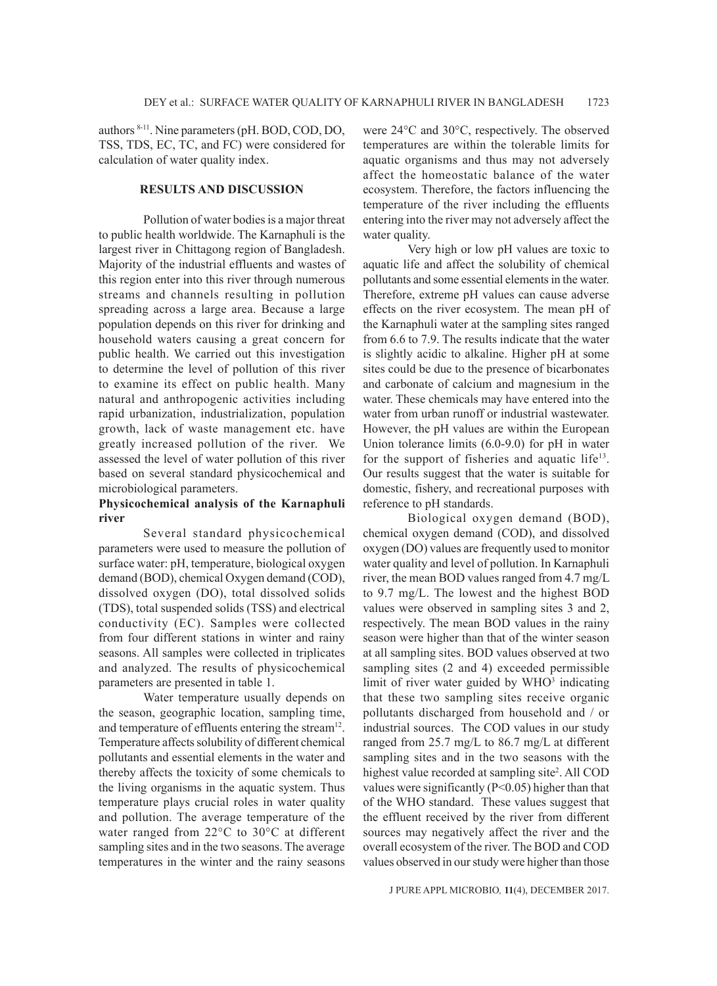authors 8-11. Nine parameters (pH. BOD, COD, DO, TSS, TDS, EC, TC, and FC) were considered for calculation of water quality index.

## **RESULTS AND DISCUSSION**

Pollution of water bodies is a major threat to public health worldwide. The Karnaphuli is the largest river in Chittagong region of Bangladesh. Majority of the industrial effluents and wastes of this region enter into this river through numerous streams and channels resulting in pollution spreading across a large area. Because a large population depends on this river for drinking and household waters causing a great concern for public health. We carried out this investigation to determine the level of pollution of this river to examine its effect on public health. Many natural and anthropogenic activities including rapid urbanization, industrialization, population growth, lack of waste management etc. have greatly increased pollution of the river. We assessed the level of water pollution of this river based on several standard physicochemical and microbiological parameters.

# **Physicochemical analysis of the Karnaphuli river**

Several standard physicochemical parameters were used to measure the pollution of surface water: pH, temperature, biological oxygen demand (BOD), chemical Oxygen demand (COD), dissolved oxygen (DO), total dissolved solids (TDS), total suspended solids (TSS) and electrical conductivity (EC). Samples were collected from four different stations in winter and rainy seasons. All samples were collected in triplicates and analyzed. The results of physicochemical parameters are presented in table 1.

Water temperature usually depends on the season, geographic location, sampling time, and temperature of effluents entering the stream<sup>12</sup>. Temperature affects solubility of different chemical pollutants and essential elements in the water and thereby affects the toxicity of some chemicals to the living organisms in the aquatic system. Thus temperature plays crucial roles in water quality and pollution. The average temperature of the water ranged from 22°C to 30°C at different sampling sites and in the two seasons. The average temperatures in the winter and the rainy seasons

were 24°C and 30°C, respectively. The observed temperatures are within the tolerable limits for aquatic organisms and thus may not adversely affect the homeostatic balance of the water ecosystem. Therefore, the factors influencing the temperature of the river including the effluents entering into the river may not adversely affect the water quality.

Very high or low pH values are toxic to aquatic life and affect the solubility of chemical pollutants and some essential elements in the water. Therefore, extreme pH values can cause adverse effects on the river ecosystem. The mean pH of the Karnaphuli water at the sampling sites ranged from 6.6 to 7.9. The results indicate that the water is slightly acidic to alkaline. Higher pH at some sites could be due to the presence of bicarbonates and carbonate of calcium and magnesium in the water. These chemicals may have entered into the water from urban runoff or industrial wastewater. However, the pH values are within the European Union tolerance limits (6.0-9.0) for pH in water for the support of fisheries and aquatic life<sup>13</sup>. Our results suggest that the water is suitable for domestic, fishery, and recreational purposes with reference to pH standards.

Biological oxygen demand (BOD), chemical oxygen demand (COD), and dissolved oxygen (DO) values are frequently used to monitor water quality and level of pollution. In Karnaphuli river, the mean BOD values ranged from 4.7 mg/L to 9.7 mg/L. The lowest and the highest BOD values were observed in sampling sites 3 and 2, respectively. The mean BOD values in the rainy season were higher than that of the winter season at all sampling sites. BOD values observed at two sampling sites (2 and 4) exceeded permissible limit of river water guided by WHO<sup>3</sup> indicating that these two sampling sites receive organic pollutants discharged from household and / or industrial sources. The COD values in our study ranged from 25.7 mg/L to 86.7 mg/L at different sampling sites and in the two seasons with the highest value recorded at sampling site<sup>2</sup>. All COD values were significantly (P<0.05) higher than that of the WHO standard. These values suggest that the effluent received by the river from different sources may negatively affect the river and the overall ecosystem of the river. The BOD and COD values observed in our study were higher than those

J PURE APPL MICROBIO*,* **11**(4), DECEMBER 2017.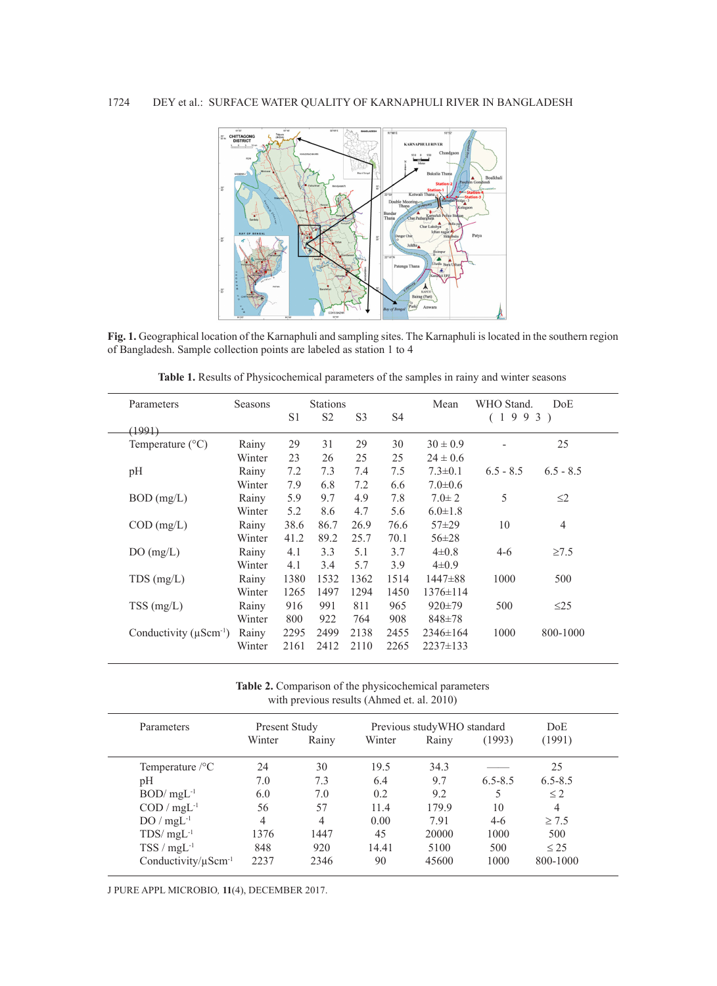

Fig. 1. Geographical location of the Karnaphuli and sampling sites. The Karnaphuli is located in the southern region of Bangladesh. Sample collection points are labeled as station 1 to 4

**Table 1.** Results of Physicochemical parameters of the samples in rainy and winter seasons

| Parameters                           | Seasons |      | <b>Stations</b> |                |      | Mean           | WHO Stand.  | DoE.           |
|--------------------------------------|---------|------|-----------------|----------------|------|----------------|-------------|----------------|
|                                      |         | S1   | S <sub>2</sub>  | S <sub>3</sub> | S4   |                | (1993)      |                |
| (1991)                               |         |      |                 |                |      |                |             |                |
| Temperature $(^{\circ}C)$            | Rainy   | 29   | 31              | 29             | 30   | $30 \pm 0.9$   |             | 25             |
|                                      | Winter  | 23   | 26              | 25             | 25   | $24 \pm 0.6$   |             |                |
| pH                                   | Rainy   | 7.2  | 7.3             | 7.4            | 7.5  | $7.3 \pm 0.1$  | $6.5 - 8.5$ | $6.5 - 8.5$    |
|                                      | Winter  | 7.9  | 6.8             | 7.2            | 6.6  | $7.0 \pm 0.6$  |             |                |
| $BOD$ (mg/L)                         | Rainy   | 5.9  | 9.7             | 4.9            | 7.8  | $7.0 \pm 2$    | 5           | $\leq$ 2       |
|                                      | Winter  | 5.2  | 8.6             | 4.7            | 5.6  | $6.0 \pm 1.8$  |             |                |
| $COD$ (mg/L)                         | Rainy   | 38.6 | 86.7            | 26.9           | 76.6 | $57 + 29$      | 10          | $\overline{4}$ |
|                                      | Winter  | 41.2 | 89.2            | 25.7           | 70.1 | $56 \pm 28$    |             |                |
| DO(mg/L)                             | Rainy   | 4.1  | 3.3             | 5.1            | 3.7  | $4\pm 0.8$     | $4 - 6$     | $\geq 7.5$     |
|                                      | Winter  | 4.1  | 3.4             | 5.7            | 3.9  | $4\pm 0.9$     |             |                |
| $TDS$ (mg/L)                         | Rainy   | 1380 | 1532            | 1362           | 1514 | $1447\pm88$    | 1000        | 500            |
|                                      | Winter  | 1265 | 1497            | 1294           | 1450 | $1376 \pm 114$ |             |                |
| $TSS$ (mg/L)                         | Rainy   | 916  | 991             | 811            | 965  | $920 \pm 79$   | 500         | $\leq$ 25      |
|                                      | Winter  | 800  | 922             | 764            | 908  | $848 + 78$     |             |                |
| Conductivity $(\mu \text{Scm}^{-1})$ | Rainy   | 2295 | 2499            | 2138           | 2455 | $2346 \pm 164$ | 1000        | 800-1000       |
|                                      | Winter  | 2161 | 2412            | 2110           | 2265 | $2237 \pm 133$ |             |                |

**Table 2.** Comparison of the physicochemical parameters with previous results (Ahmed et. al. 2010)

| Parameters                            | Present Study |       | Previous study WHO standard | DoE   |             |                |
|---------------------------------------|---------------|-------|-----------------------------|-------|-------------|----------------|
|                                       | Winter        | Rainy | Winter                      | Rainy | (1993)      | (1991)         |
| Temperature $\rm /^{\circ}C$          | 24            | 30    | 19.5                        | 34.3  |             | 25             |
| pΗ                                    | 7.0           | 7.3   | 6.4                         | 9.7   | $6.5 - 8.5$ | $6.5 - 8.5$    |
| $BOD/mgL^{-1}$                        | 6.0           | 7.0   | 0.2                         | 9.2   |             | $\leq$ 2       |
| $\text{COD} / \text{mgL}^{-1}$        | 56            | 57    | 11.4                        | 179.9 | 10          | $\overline{4}$ |
| $DO/mgL^{-1}$                         | 4             | 4     | 0.00                        | 7.91  | $4-6$       | $\geq 7.5$     |
| $TDS/mgL^{-1}$                        | 1376          | 1447  | 45                          | 20000 | 1000        | 500            |
| $TSS/mgL^{-1}$                        | 848           | 920   | 14.41                       | 5100  | 500         | $\leq$ 25      |
| Conductivity/ $\mu$ Scm <sup>-1</sup> | 2237          | 2346  | 90                          | 45600 | 1000        | 800-1000       |

J PURE APPL MICROBIO*,* **11**(4), DECEMBER 2017.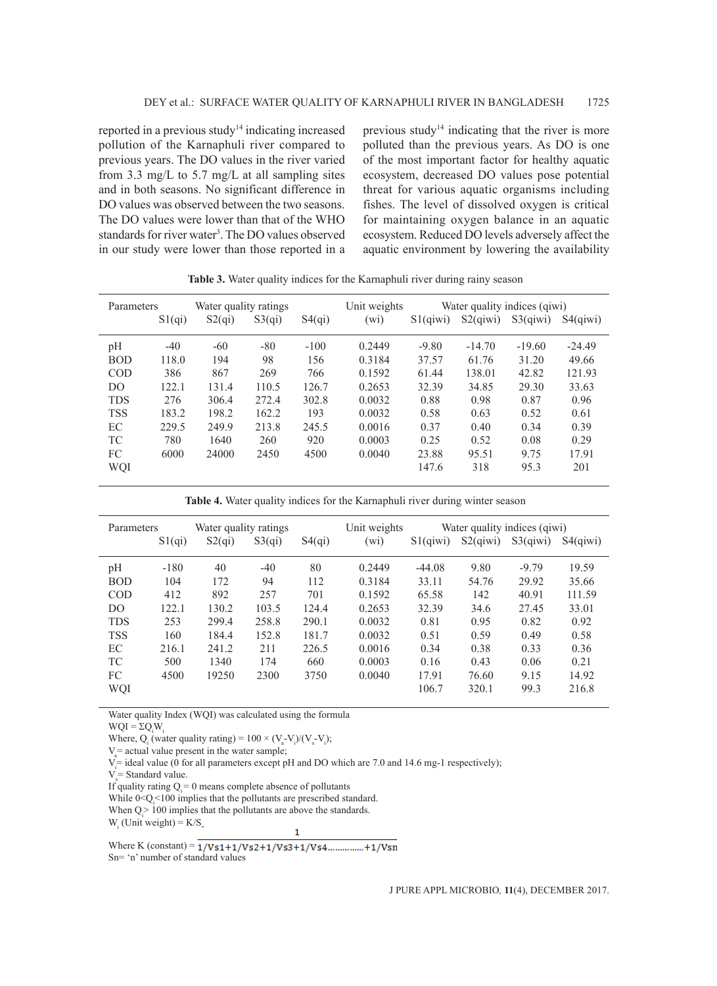reported in a previous study<sup>14</sup> indicating increased pollution of the Karnaphuli river compared to previous years. The DO values in the river varied from 3.3 mg/L to 5.7 mg/L at all sampling sites and in both seasons. No significant difference in DO values was observed between the two seasons. The DO values were lower than that of the WHO standards for river water<sup>3</sup>. The DO values observed in our study were lower than those reported in a previous study<sup>14</sup> indicating that the river is more polluted than the previous years. As DO is one of the most important factor for healthy aquatic ecosystem, decreased DO values pose potential threat for various aquatic organisms including fishes. The level of dissolved oxygen is critical for maintaining oxygen balance in an aquatic ecosystem. Reduced DO levels adversely affect the aquatic environment by lowering the availability

| Parameters     |        | Water quality ratings |        |        | Unit weights      | Water quality indices (qiwi) |             |             |                       |
|----------------|--------|-----------------------|--------|--------|-------------------|------------------------------|-------------|-------------|-----------------------|
|                | S1(qi) | S2(qi)                | S3(qi) | S4(qi) | (w <sub>i</sub> ) | $S1$ (qiwi)                  | $S2$ (giwi) | $S3$ (qiwi) | S <sub>4</sub> (qiwi) |
| pН             | $-40$  | $-60$                 | $-80$  | $-100$ | 0.2449            | $-9.80$                      | $-14.70$    | $-19.60$    | $-24.49$              |
| <b>BOD</b>     | 118.0  | 194                   | 98     | 156    | 0.3184            | 37.57                        | 61.76       | 31.20       | 49.66                 |
| <b>COD</b>     | 386    | 867                   | 269    | 766    | 0.1592            | 61.44                        | 138.01      | 42.82       | 121.93                |
| D <sub>O</sub> | 122.1  | 131.4                 | 110.5  | 126.7  | 0.2653            | 32.39                        | 34.85       | 29.30       | 33.63                 |
| <b>TDS</b>     | 276    | 306.4                 | 272.4  | 302.8  | 0.0032            | 0.88                         | 0.98        | 0.87        | 0.96                  |
| <b>TSS</b>     | 183.2  | 198.2                 | 162.2  | 193    | 0.0032            | 0.58                         | 0.63        | 0.52        | 0.61                  |
| ЕC             | 229.5  | 249.9                 | 213.8  | 245.5  | 0.0016            | 0.37                         | 0.40        | 0.34        | 0.39                  |
| TC             | 780    | 1640                  | 260    | 920    | 0.0003            | 0.25                         | 0.52        | 0.08        | 0.29                  |
| FC             | 6000   | 24000                 | 2450   | 4500   | 0.0040            | 23.88                        | 95.51       | 9.75        | 17.91                 |
| WQI            |        |                       |        |        |                   | 147.6                        | 318         | 95.3        | 201                   |
|                |        |                       |        |        |                   |                              |             |             |                       |

**Table 3.** Water quality indices for the Karnaphuli river during rainy season

**Table 4.** Water quality indices for the Karnaphuli river during winter season

| Parameters     |        | Water quality ratings |        |        | Water quality indices (qiwi)<br>Unit weights |             |             |             |             |
|----------------|--------|-----------------------|--------|--------|----------------------------------------------|-------------|-------------|-------------|-------------|
|                | S1(qi) | S2(qi)                | S3(qi) | S4(qi) | (w <sub>i</sub> )                            | $S1$ (qiwi) | $S2$ (qiwi) | $S3$ (qiwi) | $S4$ (qiwi) |
| pH             | $-180$ | 40                    | $-40$  | 80     | 0.2449                                       | $-44.08$    | 9.80        | $-9.79$     | 19.59       |
| <b>BOD</b>     | 104    | 172                   | 94     | 112    | 0.3184                                       | 33.11       | 54.76       | 29.92       | 35.66       |
| <b>COD</b>     | 412    | 892                   | 257    | 701    | 0.1592                                       | 65.58       | 142         | 40.91       | 111.59      |
| D <sub>O</sub> | 122.1  | 130.2                 | 103.5  | 124.4  | 0.2653                                       | 32.39       | 34.6        | 27.45       | 33.01       |
| <b>TDS</b>     | 253    | 299.4                 | 258.8  | 290.1  | 0.0032                                       | 0.81        | 0.95        | 0.82        | 0.92        |
| <b>TSS</b>     | 160    | 184.4                 | 152.8  | 181.7  | 0.0032                                       | 0.51        | 0.59        | 0.49        | 0.58        |
| EC             | 216.1  | 241.2                 | 211    | 226.5  | 0.0016                                       | 0.34        | 0.38        | 0.33        | 0.36        |
| TC             | 500    | 1340                  | 174    | 660    | 0.0003                                       | 0.16        | 0.43        | 0.06        | 0.21        |
| FC             | 4500   | 19250                 | 2300   | 3750   | 0.0040                                       | 17.91       | 76.60       | 9.15        | 14.92       |
| WQI            |        |                       |        |        |                                              | 106.7       | 320.1       | 99.3        | 216.8       |

Water quality Index (WQI) was calculated using the formula

 $WQI = \Sigma Q_i W_i$ 

Where, Q<sub>i</sub> (water quality rating) =  $100 \times (V_a - V_i)/(V_s - V_i)$ ;

 $V_a$  actual value present in the water sample;

V<sub>i</sub> ideal value (0 for all parameters except pH and DO which are 7.0 and 14.6 mg-1 respectively);

 $V_s$  = Standard value.

If quality rating  $Q_i = 0$  means complete absence of pollutants

While  $0 < Q_i < 100$  implies that the pollutants are prescribed standard.

When  $Q_i > 100$  implies that the pollutants are above the standards.

 $W_i$  (Unit weight) =  $K/S_n$ .

Where K (constant) =  $\frac{1}{\sqrt{81+1}}\sqrt{82+1}\sqrt{83+1}\sqrt{84}$ ................+1/Vsn Sn= 'n' number of standard values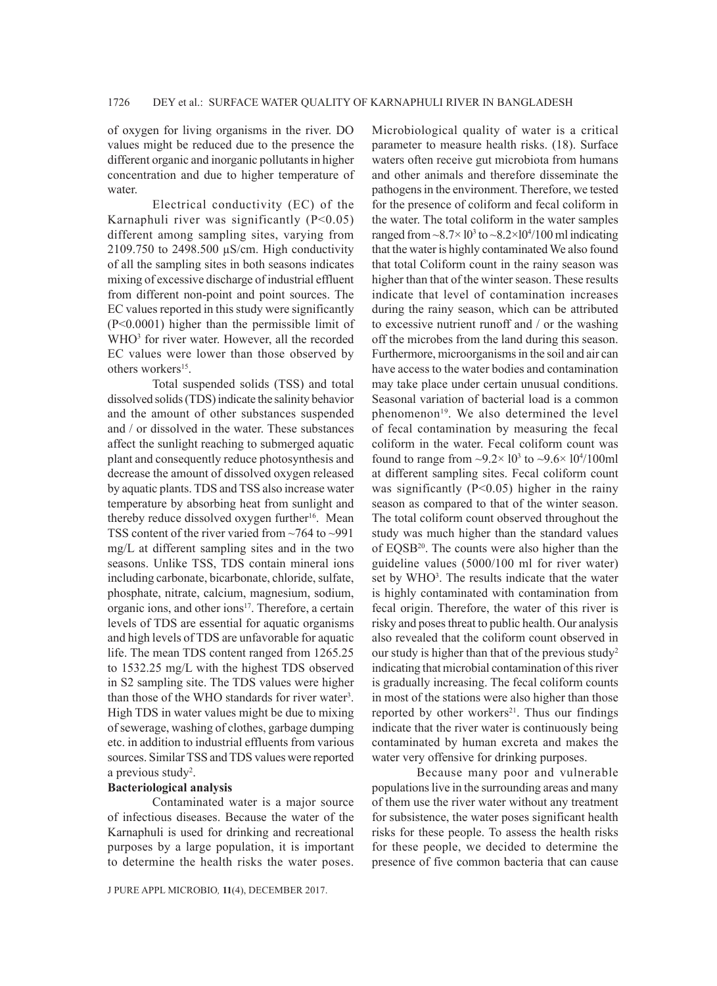of oxygen for living organisms in the river. DO values might be reduced due to the presence the different organic and inorganic pollutants in higher concentration and due to higher temperature of water.

Electrical conductivity (EC) of the Karnaphuli river was significantly  $(P<0.05)$ different among sampling sites, varying from 2109.750 to 2498.500 µS/cm. High conductivity of all the sampling sites in both seasons indicates mixing of excessive discharge of industrial effluent from different non-point and point sources. The EC values reported in this study were significantly (P<0.0001) higher than the permissible limit of WHO<sup>3</sup> for river water. However, all the recorded EC values were lower than those observed by others workers<sup>15</sup>.

Total suspended solids (TSS) and total dissolved solids (TDS) indicate the salinity behavior and the amount of other substances suspended and / or dissolved in the water. These substances affect the sunlight reaching to submerged aquatic plant and consequently reduce photosynthesis and decrease the amount of dissolved oxygen released by aquatic plants. TDS and TSS also increase water temperature by absorbing heat from sunlight and thereby reduce dissolved oxygen further<sup>16</sup>. Mean TSS content of the river varied from ~764 to ~991 mg/L at different sampling sites and in the two seasons. Unlike TSS, TDS contain mineral ions including carbonate, bicarbonate, chloride, sulfate, phosphate, nitrate, calcium, magnesium, sodium, organic ions, and other ions<sup>17</sup>. Therefore, a certain levels of TDS are essential for aquatic organisms and high levels of TDS are unfavorable for aquatic life. The mean TDS content ranged from 1265.25 to 1532.25 mg/L with the highest TDS observed in S2 sampling site. The TDS values were higher than those of the WHO standards for river water<sup>3</sup>. High TDS in water values might be due to mixing of sewerage, washing of clothes, garbage dumping etc. in addition to industrial effluents from various sources. Similar TSS and TDS values were reported a previous study<sup>2</sup>.

## **Bacteriological analysis**

Contaminated water is a major source of infectious diseases. Because the water of the Karnaphuli is used for drinking and recreational purposes by a large population, it is important to determine the health risks the water poses.

Microbiological quality of water is a critical parameter to measure health risks. (18). Surface waters often receive gut microbiota from humans and other animals and therefore disseminate the pathogens in the environment. Therefore, we tested for the presence of coliform and fecal coliform in the water. The total coliform in the water samples ranged from  $\sim 8.7 \times 10^3$  to  $\sim 8.2 \times 10^4 / 100$  ml indicating that the water is highly contaminated We also found that total Coliform count in the rainy season was higher than that of the winter season. These results indicate that level of contamination increases during the rainy season, which can be attributed to excessive nutrient runoff and / or the washing off the microbes from the land during this season. Furthermore, microorganisms in the soil and air can have access to the water bodies and contamination may take place under certain unusual conditions. Seasonal variation of bacterial load is a common phenomenon<sup>19</sup>. We also determined the level of fecal contamination by measuring the fecal coliform in the water. Fecal coliform count was found to range from  $\sim 9.2 \times 10^3$  to  $\sim 9.6 \times 10^4 / 100$ ml at different sampling sites. Fecal coliform count was significantly (P<0.05) higher in the rainy season as compared to that of the winter season. The total coliform count observed throughout the study was much higher than the standard values of EQSB<sup>20</sup>. The counts were also higher than the guideline values (5000/100 ml for river water) set by WHO<sup>3</sup>. The results indicate that the water is highly contaminated with contamination from fecal origin. Therefore, the water of this river is risky and poses threat to public health. Our analysis also revealed that the coliform count observed in our study is higher than that of the previous study<sup>2</sup> indicating that microbial contamination of this river is gradually increasing. The fecal coliform counts in most of the stations were also higher than those reported by other workers<sup>21</sup>. Thus our findings indicate that the river water is continuously being contaminated by human excreta and makes the water very offensive for drinking purposes.

Because many poor and vulnerable populations live in the surrounding areas and many of them use the river water without any treatment for subsistence, the water poses significant health risks for these people. To assess the health risks for these people, we decided to determine the presence of five common bacteria that can cause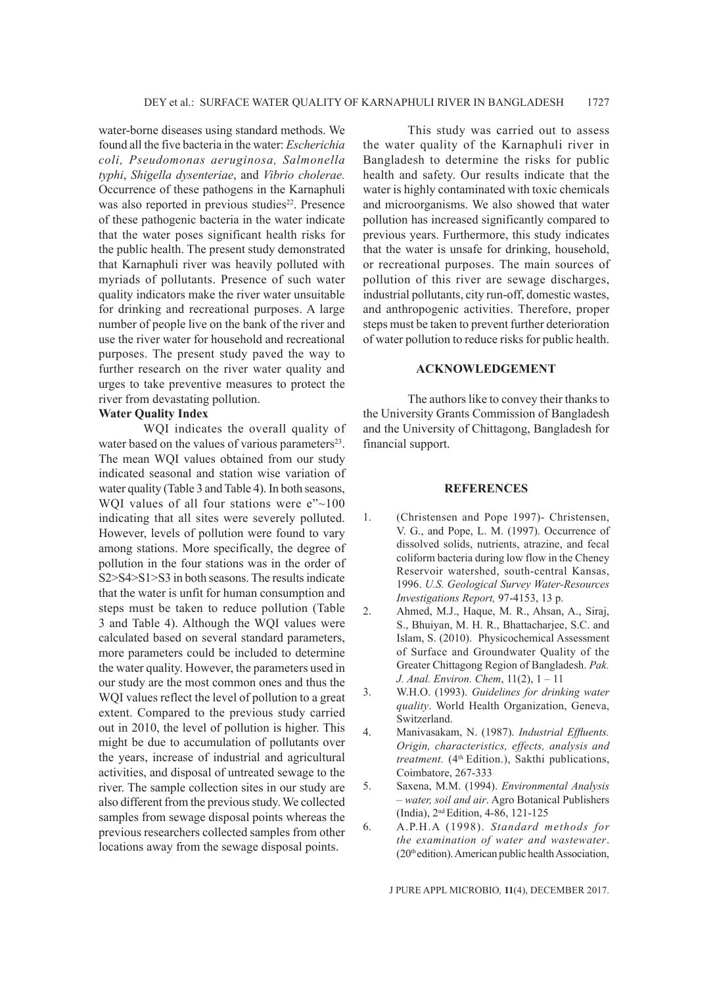water-borne diseases using standard methods. We found all the five bacteria in the water: *Escherichia coli, Pseudomonas aeruginosa, Salmonella typhi*, *Shigella dysenteriae*, and *Vibrio cholerae.*  Occurrence of these pathogens in the Karnaphuli was also reported in previous studies<sup>22</sup>. Presence of these pathogenic bacteria in the water indicate that the water poses significant health risks for the public health. The present study demonstrated that Karnaphuli river was heavily polluted with myriads of pollutants. Presence of such water quality indicators make the river water unsuitable for drinking and recreational purposes. A large number of people live on the bank of the river and use the river water for household and recreational purposes. The present study paved the way to further research on the river water quality and urges to take preventive measures to protect the river from devastating pollution.

## **Water Quality Index**

WQI indicates the overall quality of water based on the values of various parameters<sup>23</sup>. The mean WQI values obtained from our study indicated seasonal and station wise variation of water quality (Table 3 and Table 4). In both seasons, WQI values of all four stations were  $e^{\gamma}$ ~100 indicating that all sites were severely polluted. However, levels of pollution were found to vary among stations. More specifically, the degree of pollution in the four stations was in the order of S2>S4>S1>S3 in both seasons. The results indicate that the water is unfit for human consumption and steps must be taken to reduce pollution (Table 3 and Table 4). Although the WQI values were calculated based on several standard parameters, more parameters could be included to determine the water quality. However, the parameters used in our study are the most common ones and thus the WQI values reflect the level of pollution to a great extent. Compared to the previous study carried out in 2010, the level of pollution is higher. This might be due to accumulation of pollutants over the years, increase of industrial and agricultural activities, and disposal of untreated sewage to the river. The sample collection sites in our study are also different from the previous study. We collected samples from sewage disposal points whereas the previous researchers collected samples from other locations away from the sewage disposal points.

This study was carried out to assess the water quality of the Karnaphuli river in Bangladesh to determine the risks for public health and safety. Our results indicate that the water is highly contaminated with toxic chemicals and microorganisms. We also showed that water pollution has increased significantly compared to previous years. Furthermore, this study indicates that the water is unsafe for drinking, household, or recreational purposes. The main sources of pollution of this river are sewage discharges, industrial pollutants, city run-off, domestic wastes, and anthropogenic activities. Therefore, proper steps must be taken to prevent further deterioration of water pollution to reduce risks for public health.

# **ACKNOWLEDGEMENT**

The authors like to convey their thanks to the University Grants Commission of Bangladesh and the University of Chittagong, Bangladesh for financial support.

#### **REFERENCES**

- 1. (Christensen and Pope 1997)- Christensen, V. G., and Pope, L. M. (1997). Occurrence of dissolved solids, nutrients, atrazine, and fecal coliform bacteria during low flow in the Cheney Reservoir watershed, south-central Kansas, 1996. *U.S. Geological Survey Water-Resources Investigations Report,* 97-4153, 13 p.
- 2. Ahmed, M.J., Haque, M. R., Ahsan, A., Siraj, S., Bhuiyan, M. H. R., Bhattacharjee, S.C. and Islam, S. (2010). Physicochemical Assessment of Surface and Groundwater Quality of the Greater Chittagong Region of Bangladesh. *Pak. J. Anal. Environ. Chem*, 11(2), 1 – 11
- 3. W.H.O. (1993). *Guidelines for drinking water quality*. World Health Organization, Geneva, Switzerland.
- 4. Manivasakam, N. (1987). *Industrial Effluents. Origin, characteristics, effects, analysis and treatment.* (4<sup>th</sup> Edition.), Sakthi publications, Coimbatore, 267-333
- 5. Saxena, M.M. (1994). *Environmental Analysis – water, soil and air*. Agro Botanical Publishers (India), 2<sup>nd</sup> Edition, 4-86, 121-125
- 6. A.P.H.A (1998). *Standard methods for the examination of water and wastewater*. (20th edition). American public health Association,

J PURE APPL MICROBIO*,* **11**(4), DECEMBER 2017.